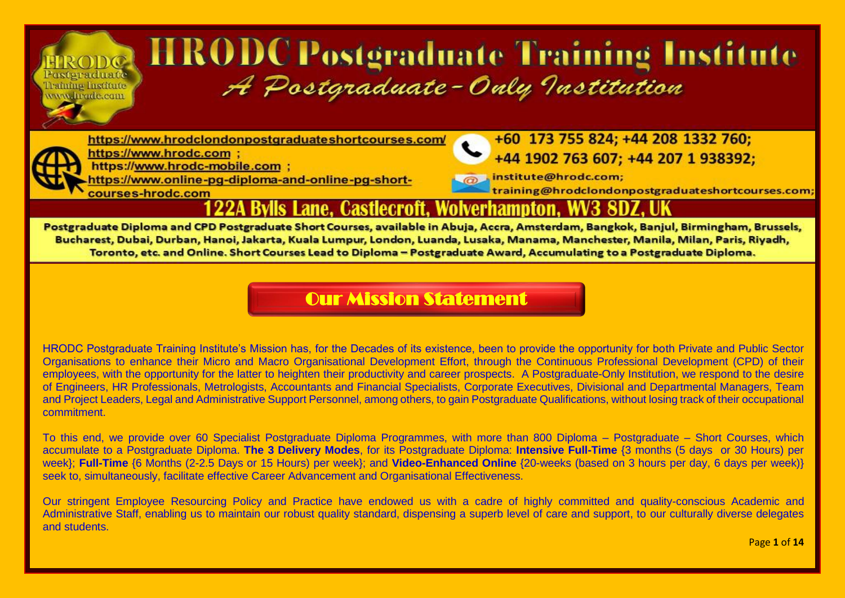# **HRODCPostgraduate Training Institute** A Postgraduate-Only Institution

https://www.hrodclondonpostgraduateshortcourses.com/



Posteraduate

Teamino Institute www.hrade.com

> https://www.hrodc.com ; https://www.hrodc-mobile.com :

courses-hrodc.com

https://www.online-pg-diploma-and-online-pg-short-

+60 173 755 824; +44 208 1332 760; +44 1902 763 607; +44 207 1 938392;

institute@hrodc.com; training@hrodclondonpostgraduateshortcourses.com

#### Lane. Castlecroft. Wolverhampton.

Postgraduate Diploma and CPD Postgraduate Short Courses, available in Abuja, Accra, Amsterdam, Bangkok, Banjul, Birmingham, Brussels, Bucharest, Dubai, Durban, Hanoi, Jakarta, Kuala Lumpur, London, Luanda, Lusaka, Manama, Manchester, Manila, Milan, Paris, Riyadh, Toronto, etc. and Online, Short Courses Lead to Diploma - Postgraduate Award, Accumulating to a Postgraduate Diploma,

#### [Our Mission Statement](https://www.hrodc.com/Students_Delegates_Comments_Postgraduate_Diploma_Programmes_Short_Courses_HRODC_Postgraduate_Training_Institute_A_Postgraduate_Only_Institution_London.htm)

HRODC Postgraduate Training Institute's Mission has, for the Decades of its existence, been to provide the opportunity for both Private and Public Sector Organisations to enhance their Micro and Macro Organisational Development Effort, through the Continuous Professional Development (CPD) of their employees, with the opportunity for the latter to heighten their productivity and career prospects. A Postgraduate-Only Institution, we respond to the desire of Engineers, HR Professionals, Metrologists, Accountants and Financial Specialists, Corporate Executives, Divisional and Departmental Managers, Team and Project Leaders, Legal and Administrative Support Personnel, among others, to gain Postgraduate Qualifications, without losing track of their occupational commitment.

To this end, we provide over 60 Specialist Postgraduate Diploma Programmes, with more than 800 Diploma – Postgraduate – Short Courses, which accumulate to a Postgraduate Diploma. **The 3 Delivery Modes**, for its Postgraduate Diploma: **Intensive Full-Time** {3 months (5 days or 30 Hours) per week}; **Full-Time** {6 Months (2-2.5 Days or 15 Hours) per week}; and **Video-Enhanced Online** {20-weeks (based on 3 hours per day, 6 days per week)} seek to, simultaneously, facilitate effective Career Advancement and Organisational Effectiveness.

Our stringent Employee Resourcing Policy and Practice have endowed us with a cadre of highly committed and quality-conscious Academic and Administrative Staff, enabling us to maintain our robust quality standard, dispensing a superb level of care and support, to our culturally diverse delegates and students.

Page **1** of **14**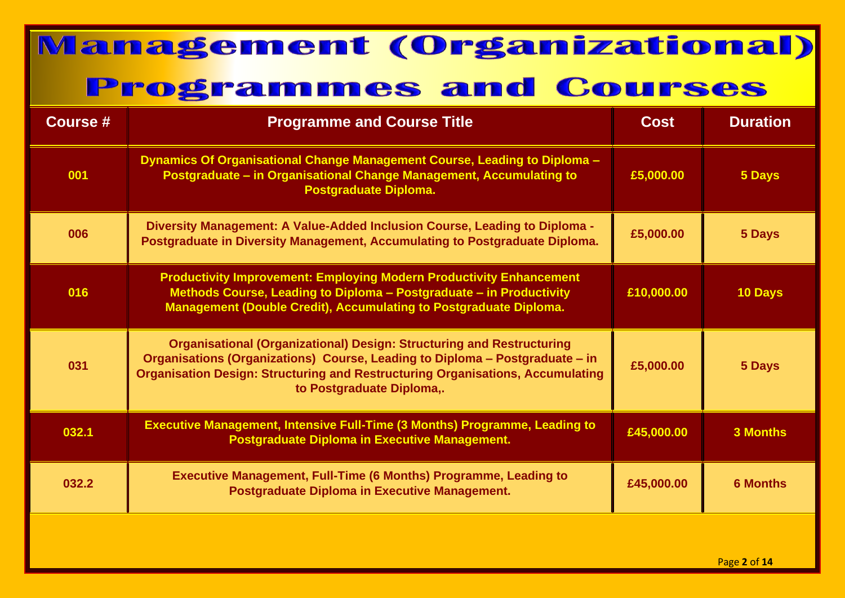| <b>Course #</b> | <b>Programme and Course Title</b>                                                                                                                                                                                                                                                  | <b>Cost</b> | <b>Duration</b> |
|-----------------|------------------------------------------------------------------------------------------------------------------------------------------------------------------------------------------------------------------------------------------------------------------------------------|-------------|-----------------|
| 001             | Dynamics Of Organisational Change Management Course, Leading to Diploma -<br>Postgraduate - in Organisational Change Management, Accumulating to<br>Postgraduate Diploma.                                                                                                          | £5,000.00   | 5 Days          |
| 006             | Diversity Management: A Value-Added Inclusion Course, Leading to Diploma -<br>Postgraduate in Diversity Management, Accumulating to Postgraduate Diploma.                                                                                                                          | £5,000.00   | 5 Days          |
| 016             | <b>Productivity Improvement: Employing Modern Productivity Enhancement</b><br>Methods Course, Leading to Diploma - Postgraduate - in Productivity<br>Management (Double Credit), Accumulating to Postgraduate Diploma.                                                             | £10,000.00  | 10 Days         |
| 031             | <b>Organisational (Organizational) Design: Structuring and Restructuring</b><br>Organisations (Organizations) Course, Leading to Diploma - Postgraduate - in<br><b>Organisation Design: Structuring and Restructuring Organisations, Accumulating</b><br>to Postgraduate Diploma,. | £5,000.00   | <b>5 Days</b>   |
| 032.1           | <b>Executive Management, Intensive Full-Time (3 Months) Programme, Leading to</b><br><b>Postgraduate Diploma in Executive Management.</b>                                                                                                                                          | £45,000.00  | <b>3 Months</b> |
| 032.2           | <b>Executive Management, Full-Time (6 Months) Programme, Leading to</b><br><b>Postgraduate Diploma in Executive Management.</b>                                                                                                                                                    | £45,000.00  | <b>6 Months</b> |
|                 |                                                                                                                                                                                                                                                                                    |             |                 |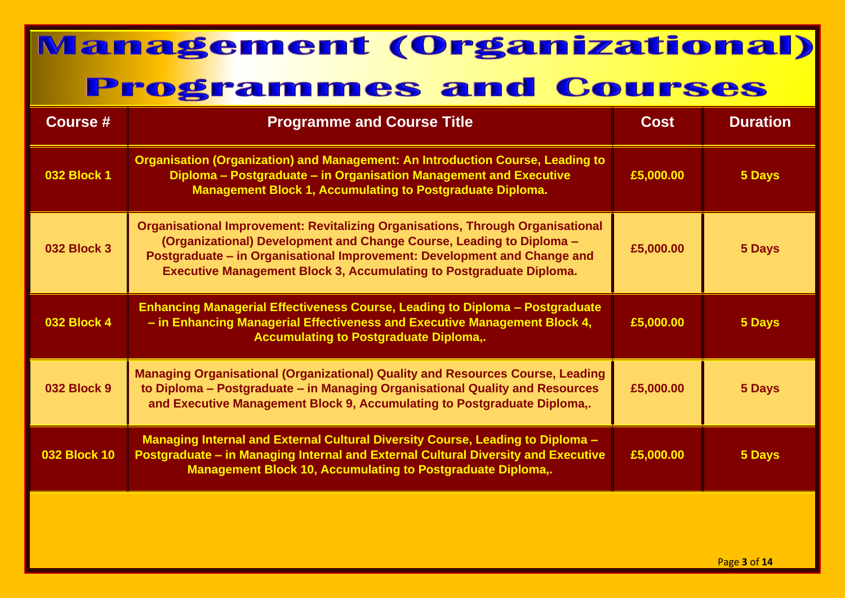| <b>Course #</b>     | <b>Programme and Course Title</b>                                                                                                                                                                                                                                                                                       | <b>Cost</b> | <b>Duration</b> |
|---------------------|-------------------------------------------------------------------------------------------------------------------------------------------------------------------------------------------------------------------------------------------------------------------------------------------------------------------------|-------------|-----------------|
| <b>032 Block 1</b>  | <b>Organisation (Organization) and Management: An Introduction Course, Leading to</b><br>Diploma - Postgraduate - in Organisation Management and Executive<br><b>Management Block 1, Accumulating to Postgraduate Diploma.</b>                                                                                          | £5,000.00   | 5 Days          |
| <b>032 Block 3</b>  | <b>Organisational Improvement: Revitalizing Organisations, Through Organisational</b><br>(Organizational) Development and Change Course, Leading to Diploma -<br>Postgraduate - in Organisational Improvement: Development and Change and<br><b>Executive Management Block 3, Accumulating to Postgraduate Diploma.</b> | £5,000.00   | 5 Days          |
| <b>032 Block 4</b>  | Enhancing Managerial Effectiveness Course, Leading to Diploma - Postgraduate<br>- in Enhancing Managerial Effectiveness and Executive Management Block 4,<br><b>Accumulating to Postgraduate Diploma,.</b>                                                                                                              | £5,000.00   | 5 Days          |
| <b>032 Block 9</b>  | <b>Managing Organisational (Organizational) Quality and Resources Course, Leading</b><br>to Diploma - Postgraduate - in Managing Organisational Quality and Resources<br>and Executive Management Block 9, Accumulating to Postgraduate Diploma,.                                                                       | £5,000.00   | <b>5 Days</b>   |
| <b>032 Block 10</b> | Managing Internal and External Cultural Diversity Course, Leading to Diploma -<br>Postgraduate - in Managing Internal and External Cultural Diversity and Executive<br><b>Management Block 10, Accumulating to Postgraduate Diploma,.</b>                                                                               | £5,000.00   | 5 Days          |
|                     |                                                                                                                                                                                                                                                                                                                         |             |                 |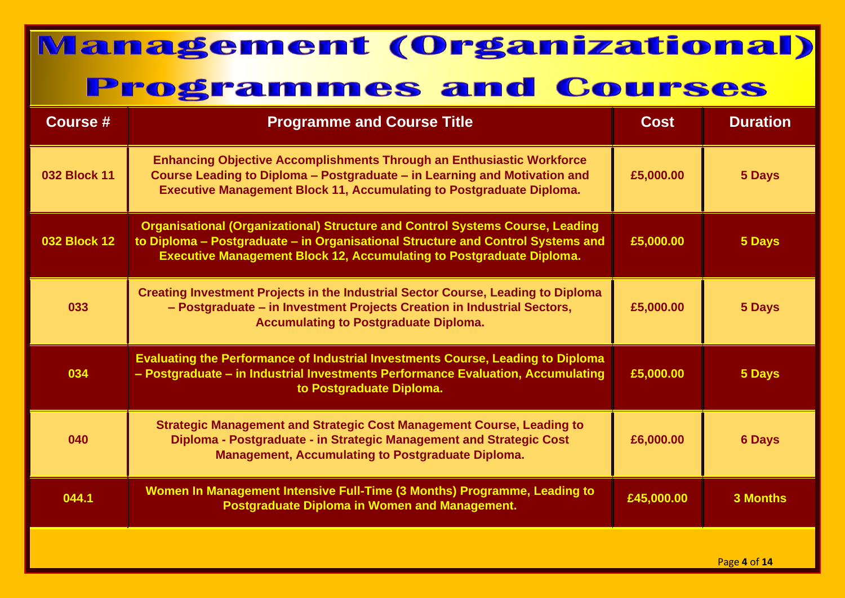| <b>Course #</b>     | <b>Programme and Course Title</b>                                                                                                                                                                                                                      | <b>Cost</b> | <b>Duration</b> |
|---------------------|--------------------------------------------------------------------------------------------------------------------------------------------------------------------------------------------------------------------------------------------------------|-------------|-----------------|
| <b>032 Block 11</b> | <b>Enhancing Objective Accomplishments Through an Enthusiastic Workforce</b><br>Course Leading to Diploma - Postgraduate - in Learning and Motivation and<br><b>Executive Management Block 11, Accumulating to Postgraduate Diploma.</b>               | £5,000.00   | 5 Days          |
| <b>032 Block 12</b> | <b>Organisational (Organizational) Structure and Control Systems Course, Leading</b><br>to Diploma - Postgraduate - in Organisational Structure and Control Systems and<br><b>Executive Management Block 12, Accumulating to Postgraduate Diploma.</b> | £5,000.00   | 5 Days          |
| 033                 | <b>Creating Investment Projects in the Industrial Sector Course, Leading to Diploma</b><br>- Postgraduate - in Investment Projects Creation in Industrial Sectors,<br><b>Accumulating to Postgraduate Diploma.</b>                                     | £5,000.00   | 5 Days          |
| 034                 | <b>Evaluating the Performance of Industrial Investments Course, Leading to Diploma</b><br>- Postgraduate - in Industrial Investments Performance Evaluation, Accumulating<br>to Postgraduate Diploma.                                                  | £5,000.00   | 5 Days          |
| 040                 | <b>Strategic Management and Strategic Cost Management Course, Leading to</b><br>Diploma - Postgraduate - in Strategic Management and Strategic Cost<br><b>Management, Accumulating to Postgraduate Diploma.</b>                                        | £6,000.00   | <b>6 Days</b>   |
| 044.1               | Women In Management Intensive Full-Time (3 Months) Programme, Leading to<br><b>Postgraduate Diploma in Women and Management.</b>                                                                                                                       | £45,000.00  | <b>3 Months</b> |
|                     |                                                                                                                                                                                                                                                        |             | Page 4 of 14    |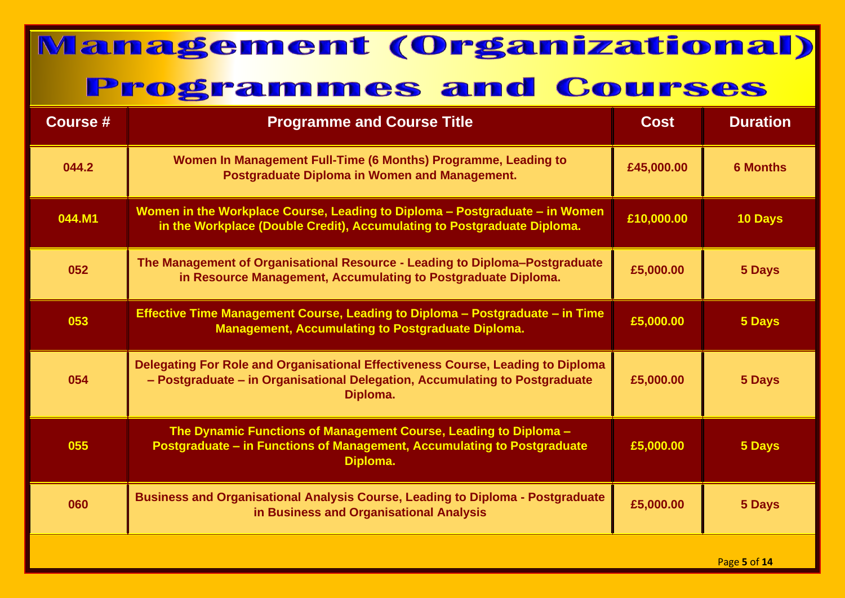| <b>Course #</b> | <b>Programme and Course Title</b>                                                                                                                                          | <b>Cost</b> | <b>Duration</b>   |
|-----------------|----------------------------------------------------------------------------------------------------------------------------------------------------------------------------|-------------|-------------------|
| 044.2           | Women In Management Full-Time (6 Months) Programme, Leading to<br><b>Postgraduate Diploma in Women and Management.</b>                                                     | £45,000.00  | <b>6 Months</b>   |
| 044.M1          | Women in the Workplace Course, Leading to Diploma - Postgraduate - in Women<br>in the Workplace (Double Credit), Accumulating to Postgraduate Diploma.                     | £10,000.00  | 10 Days           |
| 052             | The Management of Organisational Resource - Leading to Diploma-Postgraduate<br>in Resource Management, Accumulating to Postgraduate Diploma.                               | £5,000.00   | 5 Days            |
| 053             | Effective Time Management Course, Leading to Diploma - Postgraduate - in Time<br><b>Management, Accumulating to Postgraduate Diploma.</b>                                  | £5,000.00   | 5 Days            |
| 054             | Delegating For Role and Organisational Effectiveness Course, Leading to Diploma<br>- Postgraduate - in Organisational Delegation, Accumulating to Postgraduate<br>Diploma. | £5,000.00   | 5 Days            |
| 055             | The Dynamic Functions of Management Course, Leading to Diploma -<br>Postgraduate - in Functions of Management, Accumulating to Postgraduate<br>Diploma.                    | £5,000.00   | 5 Days            |
| 060             | <b>Business and Organisational Analysis Course, Leading to Diploma - Postgraduate</b><br>in Business and Organisational Analysis                                           | £5,000.00   | 5 Days            |
|                 |                                                                                                                                                                            |             | $P2$ $q0$ 5 of 14 |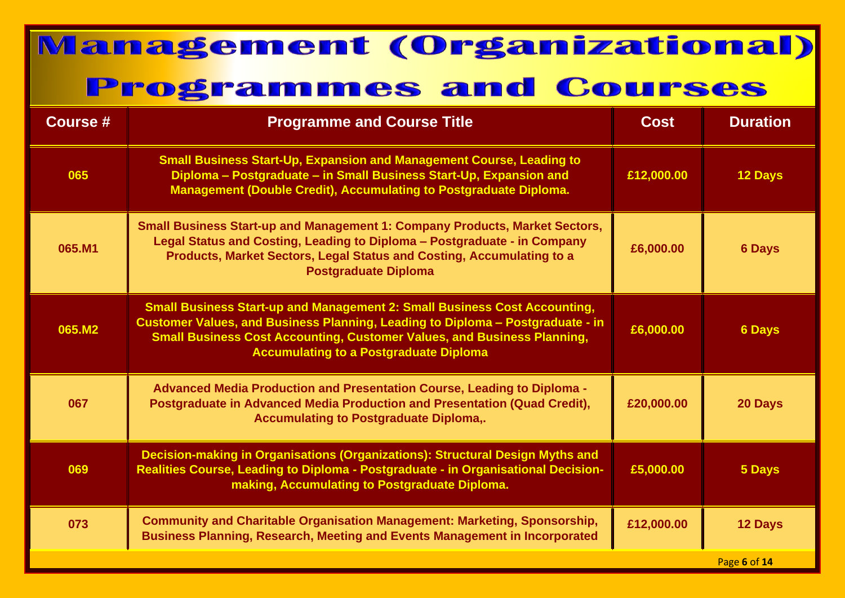| Course # | <b>Programme and Course Title</b>                                                                                                                                                                                                                                                                     | <b>Cost</b> | <b>Duration</b> |
|----------|-------------------------------------------------------------------------------------------------------------------------------------------------------------------------------------------------------------------------------------------------------------------------------------------------------|-------------|-----------------|
| 065      | <b>Small Business Start-Up, Expansion and Management Course, Leading to</b><br>Diploma - Postgraduate - in Small Business Start-Up, Expansion and<br><b>Management (Double Credit), Accumulating to Postgraduate Diploma.</b>                                                                         | £12,000.00  | <b>12 Days</b>  |
| 065.M1   | <b>Small Business Start-up and Management 1: Company Products, Market Sectors,</b><br>Legal Status and Costing, Leading to Diploma - Postgraduate - in Company<br>Products, Market Sectors, Legal Status and Costing, Accumulating to a<br><b>Postgraduate Diploma</b>                                | £6,000.00   | <b>6 Days</b>   |
| 065.M2   | <b>Small Business Start-up and Management 2: Small Business Cost Accounting,</b><br>Customer Values, and Business Planning, Leading to Diploma - Postgraduate - in<br><b>Small Business Cost Accounting, Customer Values, and Business Planning,</b><br><b>Accumulating to a Postgraduate Diploma</b> | £6,000.00   | <b>6 Days</b>   |
| 067      | Advanced Media Production and Presentation Course, Leading to Diploma -<br>Postgraduate in Advanced Media Production and Presentation (Quad Credit),<br><b>Accumulating to Postgraduate Diploma,.</b>                                                                                                 | £20,000.00  | 20 Days         |
| 069      | Decision-making in Organisations (Organizations): Structural Design Myths and<br>Realities Course, Leading to Diploma - Postgraduate - in Organisational Decision-<br>making, Accumulating to Postgraduate Diploma.                                                                                   | £5,000.00   | 5 Days          |
| 073      | <b>Community and Charitable Organisation Management: Marketing, Sponsorship,</b><br><b>Business Planning, Research, Meeting and Events Management in Incorporated</b>                                                                                                                                 | £12,000.00  | 12 Days         |
|          |                                                                                                                                                                                                                                                                                                       |             | Page 6 of 14    |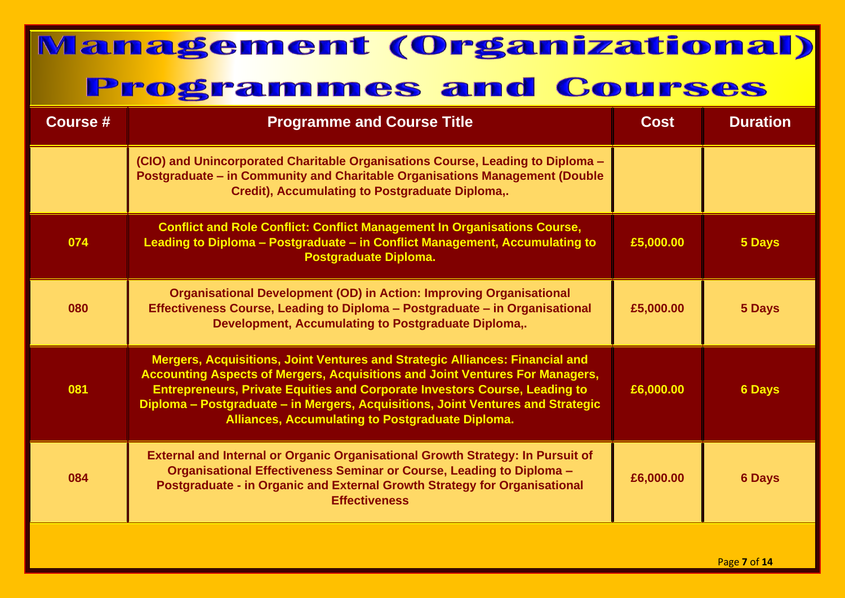| <b>Course #</b> | <b>Programme and Course Title</b>                                                                                                                                                                                                                                                                                                                                                                      | <b>Cost</b> | <b>Duration</b> |
|-----------------|--------------------------------------------------------------------------------------------------------------------------------------------------------------------------------------------------------------------------------------------------------------------------------------------------------------------------------------------------------------------------------------------------------|-------------|-----------------|
|                 | (CIO) and Unincorporated Charitable Organisations Course, Leading to Diploma -<br>Postgraduate - in Community and Charitable Organisations Management (Double<br>Credit), Accumulating to Postgraduate Diploma,.                                                                                                                                                                                       |             |                 |
| 074             | <b>Conflict and Role Conflict: Conflict Management In Organisations Course,</b><br>Leading to Diploma - Postgraduate - in Conflict Management, Accumulating to<br><b>Postgraduate Diploma.</b>                                                                                                                                                                                                         | £5,000.00   | 5 Days          |
| 080             | <b>Organisational Development (OD) in Action: Improving Organisational</b><br>Effectiveness Course, Leading to Diploma - Postgraduate - in Organisational<br>Development, Accumulating to Postgraduate Diploma,.                                                                                                                                                                                       | £5,000.00   | 5 Days          |
| 081             | Mergers, Acquisitions, Joint Ventures and Strategic Alliances: Financial and<br><b>Accounting Aspects of Mergers, Acquisitions and Joint Ventures For Managers,</b><br><b>Entrepreneurs, Private Equities and Corporate Investors Course, Leading to</b><br>Diploma - Postgraduate - in Mergers, Acquisitions, Joint Ventures and Strategic<br><b>Alliances, Accumulating to Postgraduate Diploma.</b> | £6,000.00   | <b>6 Days</b>   |
| 084             | <b>External and Internal or Organic Organisational Growth Strategy: In Pursuit of</b><br>Organisational Effectiveness Seminar or Course, Leading to Diploma -<br>Postgraduate - in Organic and External Growth Strategy for Organisational<br><b>Effectiveness</b>                                                                                                                                     | £6,000.00   | <b>6 Days</b>   |
|                 |                                                                                                                                                                                                                                                                                                                                                                                                        |             |                 |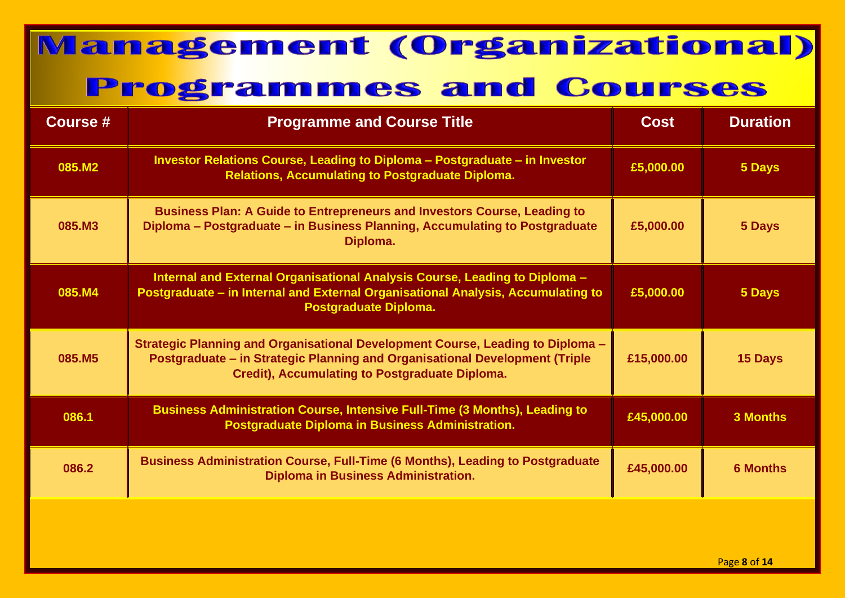| <b>Course #</b> | <b>Programme and Course Title</b>                                                                                                                                                                                      | Cost       | <b>Duration</b> |
|-----------------|------------------------------------------------------------------------------------------------------------------------------------------------------------------------------------------------------------------------|------------|-----------------|
| 085.M2          | Investor Relations Course, Leading to Diploma - Postgraduate - in Investor<br><b>Relations, Accumulating to Postgraduate Diploma.</b>                                                                                  | £5,000.00  | 5 Days          |
| 085.M3          | <b>Business Plan: A Guide to Entrepreneurs and Investors Course, Leading to</b><br>Diploma - Postgraduate - in Business Planning, Accumulating to Postgraduate<br>Diploma.                                             | £5,000.00  | 5 Days          |
| 085.M4          | Internal and External Organisational Analysis Course, Leading to Diploma -<br>Postgraduate - in Internal and External Organisational Analysis, Accumulating to<br><b>Postgraduate Diploma.</b>                         | £5,000.00  | 5 Days          |
| 085.M5          | Strategic Planning and Organisational Development Course, Leading to Diploma -<br>Postgraduate - in Strategic Planning and Organisational Development (Triple<br><b>Credit), Accumulating to Postgraduate Diploma.</b> | £15,000.00 | <b>15 Days</b>  |
| 086.1           | <b>Business Administration Course, Intensive Full-Time (3 Months), Leading to</b><br>Postgraduate Diploma in Business Administration.                                                                                  | £45,000.00 | <b>3 Months</b> |
| 086.2           | <b>Business Administration Course, Full-Time (6 Months), Leading to Postgraduate</b><br><b>Diploma in Business Administration.</b>                                                                                     | £45,000.00 | <b>6 Months</b> |
|                 |                                                                                                                                                                                                                        |            |                 |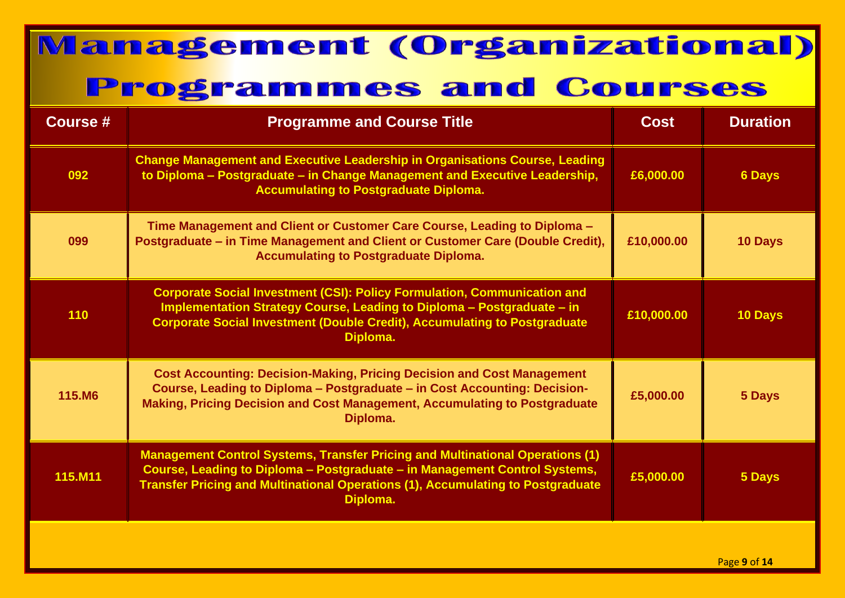| <b>Course #</b> | <b>Programme and Course Title</b>                                                                                                                                                                                                                                        | <b>Cost</b> | <b>Duration</b> |
|-----------------|--------------------------------------------------------------------------------------------------------------------------------------------------------------------------------------------------------------------------------------------------------------------------|-------------|-----------------|
| 092             | <b>Change Management and Executive Leadership in Organisations Course, Leading</b><br>to Diploma - Postgraduate - in Change Management and Executive Leadership,<br><b>Accumulating to Postgraduate Diploma.</b>                                                         | £6,000.00   | <b>6 Days</b>   |
| 099             | Time Management and Client or Customer Care Course, Leading to Diploma -<br>Postgraduate - in Time Management and Client or Customer Care (Double Credit),<br><b>Accumulating to Postgraduate Diploma.</b>                                                               | £10,000.00  | 10 Days         |
| 110             | <b>Corporate Social Investment (CSI): Policy Formulation, Communication and</b><br>Implementation Strategy Course, Leading to Diploma - Postgraduate - in<br><b>Corporate Social Investment (Double Credit), Accumulating to Postgraduate</b><br>Diploma.                | £10,000.00  | 10 Days         |
| 115.M6          | <b>Cost Accounting: Decision-Making, Pricing Decision and Cost Management</b><br>Course, Leading to Diploma - Postgraduate - in Cost Accounting: Decision-<br>Making, Pricing Decision and Cost Management, Accumulating to Postgraduate<br>Diploma.                     | £5,000.00   | 5 Days          |
| 115.M11         | <b>Management Control Systems, Transfer Pricing and Multinational Operations (1)</b><br>Course, Leading to Diploma - Postgraduate - in Management Control Systems,<br><b>Transfer Pricing and Multinational Operations (1), Accumulating to Postgraduate</b><br>Diploma. | £5,000.00   | 5 Days          |
|                 |                                                                                                                                                                                                                                                                          |             | Page 9 of 14    |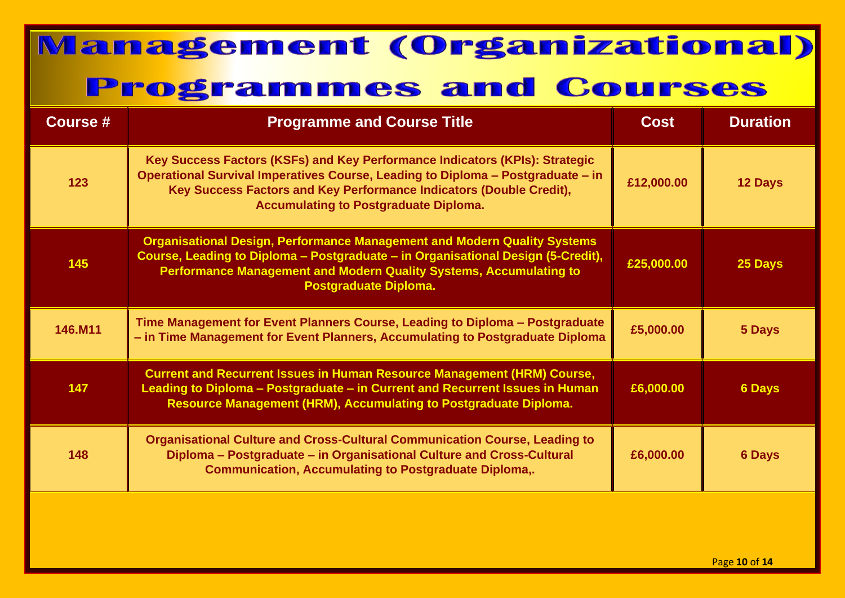| <b>Course #</b> | <b>Programme and Course Title</b>                                                                                                                                                                                                                                                     | <b>Cost</b> | <b>Duration</b> |
|-----------------|---------------------------------------------------------------------------------------------------------------------------------------------------------------------------------------------------------------------------------------------------------------------------------------|-------------|-----------------|
| 123             | Key Success Factors (KSFs) and Key Performance Indicators (KPIs): Strategic<br>Operational Survival Imperatives Course, Leading to Diploma - Postgraduate - in<br>Key Success Factors and Key Performance Indicators (Double Credit),<br><b>Accumulating to Postgraduate Diploma.</b> | £12,000.00  | 12 Days         |
| 145             | <b>Organisational Design, Performance Management and Modern Quality Systems</b><br>Course, Leading to Diploma - Postgraduate - in Organisational Design (5-Credit),<br><b>Performance Management and Modern Quality Systems, Accumulating to</b><br><b>Postgraduate Diploma.</b>      | £25,000.00  | 25 Days         |
| 146.M11         | Time Management for Event Planners Course, Leading to Diploma - Postgraduate<br>- in Time Management for Event Planners, Accumulating to Postgraduate Diploma                                                                                                                         | £5,000.00   | 5 Days          |
| 147             | <b>Current and Recurrent Issues in Human Resource Management (HRM) Course,</b><br>Leading to Diploma - Postgraduate - in Current and Recurrent Issues in Human<br><b>Resource Management (HRM), Accumulating to Postgraduate Diploma.</b>                                             | £6,000.00   | <b>6 Days</b>   |
| 148             | <b>Organisational Culture and Cross-Cultural Communication Course, Leading to</b><br>Diploma - Postgraduate - in Organisational Culture and Cross-Cultural<br><b>Communication, Accumulating to Postgraduate Diploma,.</b>                                                            | £6,000.00   | <b>6 Days</b>   |
|                 |                                                                                                                                                                                                                                                                                       |             |                 |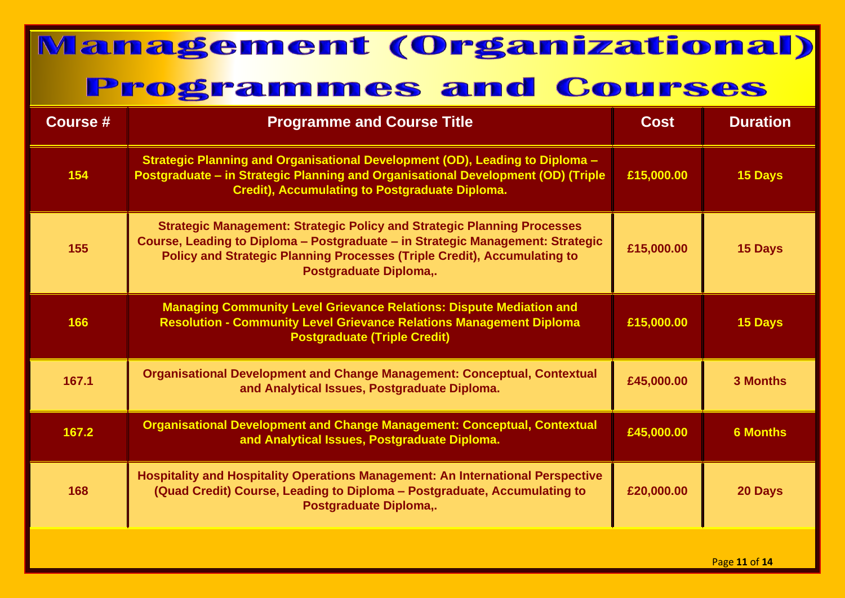| Course # | <b>Programme and Course Title</b>                                                                                                                                                                                                                                                    | <b>Cost</b> | <b>Duration</b> |
|----------|--------------------------------------------------------------------------------------------------------------------------------------------------------------------------------------------------------------------------------------------------------------------------------------|-------------|-----------------|
| 154      | Strategic Planning and Organisational Development (OD), Leading to Diploma -<br>Postgraduate - in Strategic Planning and Organisational Development (OD) (Triple<br><b>Credit), Accumulating to Postgraduate Diploma.</b>                                                            | £15,000.00  | 15 Days         |
| 155      | <b>Strategic Management: Strategic Policy and Strategic Planning Processes</b><br>Course, Leading to Diploma – Postgraduate – in Strategic Management: Strategic<br><b>Policy and Strategic Planning Processes (Triple Credit), Accumulating to</b><br><b>Postgraduate Diploma,.</b> | £15,000.00  | 15 Days         |
| 166      | <b>Managing Community Level Grievance Relations: Dispute Mediation and</b><br><b>Resolution - Community Level Grievance Relations Management Diploma</b><br><b>Postgraduate (Triple Credit)</b>                                                                                      | £15,000.00  | <b>15 Days</b>  |
| 167.1    | <b>Organisational Development and Change Management: Conceptual, Contextual</b><br>and Analytical Issues, Postgraduate Diploma.                                                                                                                                                      | £45,000.00  | <b>3 Months</b> |
| 167.2    | <b>Organisational Development and Change Management: Conceptual, Contextual</b><br>and Analytical Issues, Postgraduate Diploma.                                                                                                                                                      | £45,000.00  | <b>6 Months</b> |
| 168      | <b>Hospitality and Hospitality Operations Management: An International Perspective</b><br>(Quad Credit) Course, Leading to Diploma - Postgraduate, Accumulating to<br>Postgraduate Diploma,.                                                                                         | £20,000.00  | 20 Days         |
|          |                                                                                                                                                                                                                                                                                      |             |                 |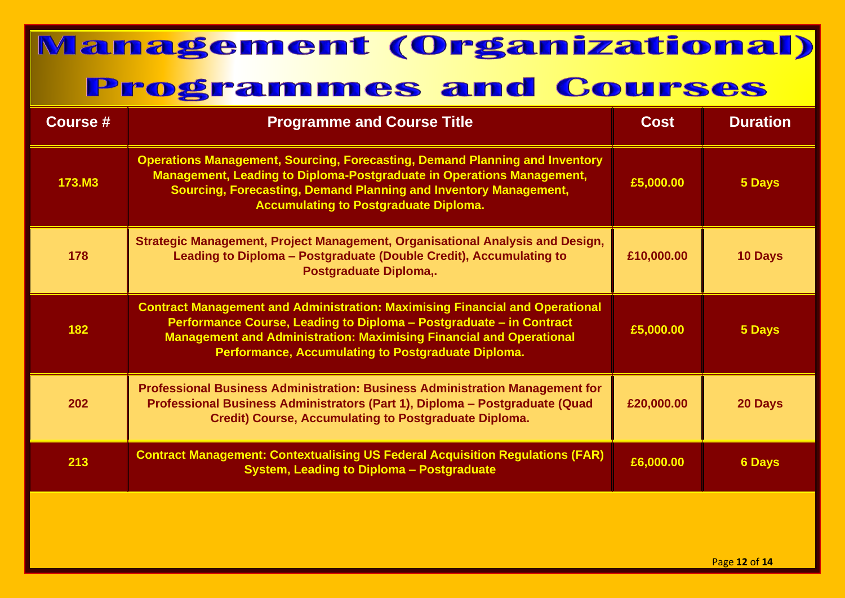| Course #      | <b>Programme and Course Title</b>                                                                                                                                                                                                                                                              | <b>Cost</b> | <b>Duration</b> |
|---------------|------------------------------------------------------------------------------------------------------------------------------------------------------------------------------------------------------------------------------------------------------------------------------------------------|-------------|-----------------|
| <b>173.M3</b> | <b>Operations Management, Sourcing, Forecasting, Demand Planning and Inventory</b><br>Management, Leading to Diploma-Postgraduate in Operations Management,<br>Sourcing, Forecasting, Demand Planning and Inventory Management,<br><b>Accumulating to Postgraduate Diploma.</b>                | £5,000.00   | 5 Days          |
| 178           | Strategic Management, Project Management, Organisational Analysis and Design,<br>Leading to Diploma - Postgraduate (Double Credit), Accumulating to<br>Postgraduate Diploma,.                                                                                                                  | £10,000.00  | 10 Days         |
| 182           | <b>Contract Management and Administration: Maximising Financial and Operational</b><br>Performance Course, Leading to Diploma - Postgraduate - in Contract<br><b>Management and Administration: Maximising Financial and Operational</b><br>Performance, Accumulating to Postgraduate Diploma. | £5,000.00   | 5 Days          |
| 202           | <b>Professional Business Administration: Business Administration Management for</b><br>Professional Business Administrators (Part 1), Diploma - Postgraduate (Quad<br><b>Credit) Course, Accumulating to Postgraduate Diploma.</b>                                                             | £20,000.00  | 20 Days         |
| 213           | <b>Contract Management: Contextualising US Federal Acquisition Regulations (FAR)</b><br><b>System, Leading to Diploma - Postgraduate</b>                                                                                                                                                       | £6,000.00   | <b>6 Days</b>   |
|               |                                                                                                                                                                                                                                                                                                |             |                 |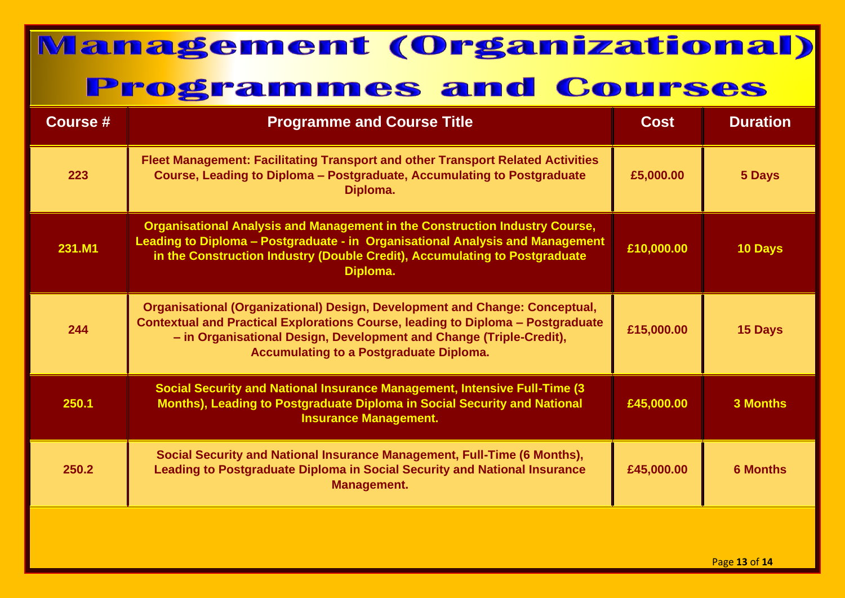| <b>Course #</b> | <b>Programme and Course Title</b>                                                                                                                                                                                                                                                              | <b>Cost</b> | <b>Duration</b> |
|-----------------|------------------------------------------------------------------------------------------------------------------------------------------------------------------------------------------------------------------------------------------------------------------------------------------------|-------------|-----------------|
| 223             | <b>Fleet Management: Facilitating Transport and other Transport Related Activities</b><br>Course, Leading to Diploma - Postgraduate, Accumulating to Postgraduate<br>Diploma.                                                                                                                  | £5,000.00   | 5 Days          |
| 231.M1          | <b>Organisational Analysis and Management in the Construction Industry Course,</b><br>Leading to Diploma - Postgraduate - in Organisational Analysis and Management<br>in the Construction Industry (Double Credit), Accumulating to Postgraduate<br>Diploma.                                  | £10,000.00  | 10 Days         |
| 244             | <b>Organisational (Organizational) Design, Development and Change: Conceptual,</b><br>Contextual and Practical Explorations Course, leading to Diploma - Postgraduate<br>- in Organisational Design, Development and Change (Triple-Credit),<br><b>Accumulating to a Postgraduate Diploma.</b> | £15,000.00  | 15 Days         |
| 250.1           | <b>Social Security and National Insurance Management, Intensive Full-Time (3)</b><br>Months), Leading to Postgraduate Diploma in Social Security and National<br><b>Insurance Management.</b>                                                                                                  | £45,000.00  | <b>3 Months</b> |
| 250.2           | Social Security and National Insurance Management, Full-Time (6 Months),<br><b>Leading to Postgraduate Diploma in Social Security and National Insurance</b><br>Management.                                                                                                                    | £45,000.00  | <b>6 Months</b> |
|                 |                                                                                                                                                                                                                                                                                                |             |                 |